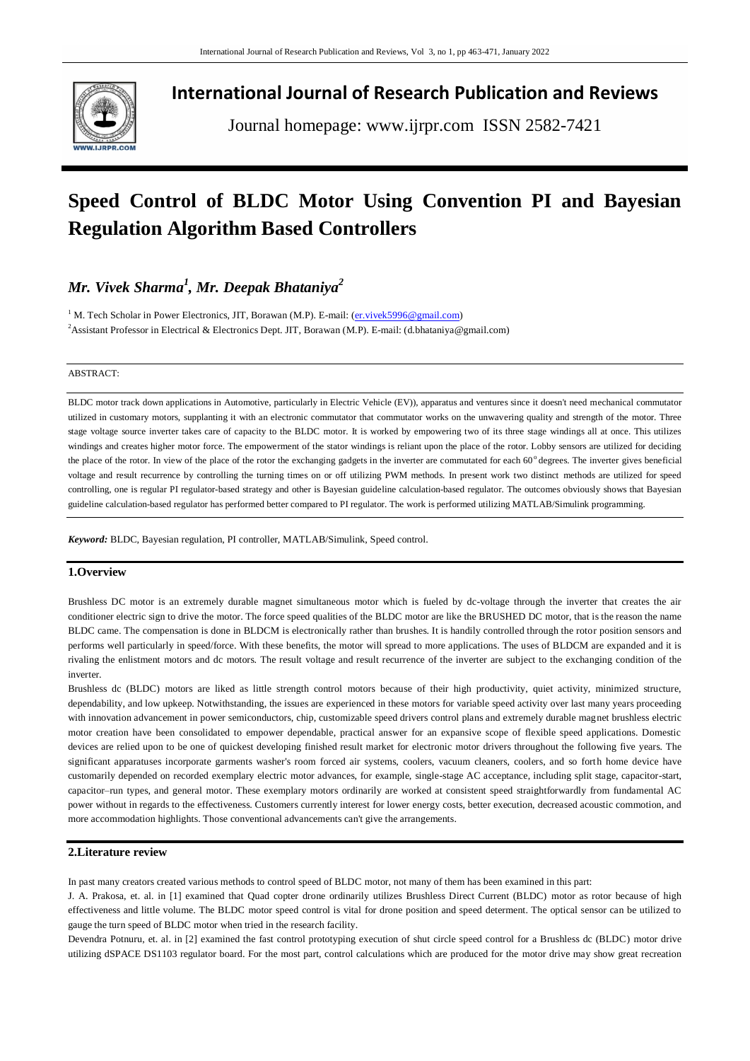

**International Journal of Research Publication and Reviews**

Journal homepage: www.ijrpr.com ISSN 2582-7421

# **Speed Control of BLDC Motor Using Convention PI and Bayesian Regulation Algorithm Based Controllers**

# *Mr. Vivek Sharma<sup>1</sup> , Mr. Deepak Bhataniya<sup>2</sup>*

<sup>1</sup> M. Tech Scholar in Power Electronics, JIT, Borawan (M.P). E-mail: [\(er.vivek5996@gmail.com\)](mailto:er.vivek5996@gmail.com) <sup>2</sup>Assistant Professor in Electrical & Electronics Dept. JIT, Borawan (M.P). E-mail: (d.bhataniya@gmail.com)

#### ABSTRACT:

BLDC motor track down applications in Automotive, particularly in Electric Vehicle (EV)), apparatus and ventures since it doesn't need mechanical commutator utilized in customary motors, supplanting it with an electronic commutator that commutator works on the unwavering quality and strength of the motor. Three stage voltage source inverter takes care of capacity to the BLDC motor. It is worked by empowering two of its three stage windings all at once. This utilizes windings and creates higher motor force. The empowerment of the stator windings is reliant upon the place of the rotor. Lobby sensors are utilized for deciding the place of the rotor. In view of the place of the rotor the exchanging gadgets in the inverter are commutated for each  $60^\circ$  degrees. The inverter gives beneficial voltage and result recurrence by controlling the turning times on or off utilizing PWM methods. In present work two distinct methods are utilized for speed controlling, one is regular PI regulator-based strategy and other is Bayesian guideline calculation-based regulator. The outcomes obviously shows that Bayesian guideline calculation-based regulator has performed better compared to PI regulator. The work is performed utilizing MATLAB/Simulink programming.

*Keyword:* BLDC, Bayesian regulation, PI controller, MATLAB/Simulink, Speed control.

# **1.Overview**

Brushless DC motor is an extremely durable magnet simultaneous motor which is fueled by dc-voltage through the inverter that creates the air conditioner electric sign to drive the motor. The force speed qualities of the BLDC motor are like the BRUSHED DC motor, that is the reason the name BLDC came. The compensation is done in BLDCM is electronically rather than brushes. It is handily controlled through the rotor position sensors and performs well particularly in speed/force. With these benefits, the motor will spread to more applications. The uses of BLDCM are expanded and it is rivaling the enlistment motors and dc motors. The result voltage and result recurrence of the inverter are subject to the exchanging condition of the inverter.

Brushless dc (BLDC) motors are liked as little strength control motors because of their high productivity, quiet activity, minimized structure, dependability, and low upkeep. Notwithstanding, the issues are experienced in these motors for variable speed activity over last many years proceeding with innovation advancement in power semiconductors, chip, customizable speed drivers control plans and extremely durable magnet brushless electric motor creation have been consolidated to empower dependable, practical answer for an expansive scope of flexible speed applications. Domestic devices are relied upon to be one of quickest developing finished result market for electronic motor drivers throughout the following five years. The significant apparatuses incorporate garments washer's room forced air systems, coolers, vacuum cleaners, coolers, and so forth home device have customarily depended on recorded exemplary electric motor advances, for example, single-stage AC acceptance, including split stage, capacitor-start, capacitor–run types, and general motor. These exemplary motors ordinarily are worked at consistent speed straightforwardly from fundamental AC power without in regards to the effectiveness. Customers currently interest for lower energy costs, better execution, decreased acoustic commotion, and more accommodation highlights. Those conventional advancements can't give the arrangements.

# **2.Literature review**

In past many creators created various methods to control speed of BLDC motor, not many of them has been examined in this part:

J. A. Prakosa, et. al. in [1] examined that Quad copter drone ordinarily utilizes Brushless Direct Current (BLDC) motor as rotor because of high effectiveness and little volume. The BLDC motor speed control is vital for drone position and speed determent. The optical sensor can be utilized to gauge the turn speed of BLDC motor when tried in the research facility.

Devendra Potnuru, et. al. in [2] examined the fast control prototyping execution of shut circle speed control for a Brushless dc (BLDC) motor drive utilizing dSPACE DS1103 regulator board. For the most part, control calculations which are produced for the motor drive may show great recreation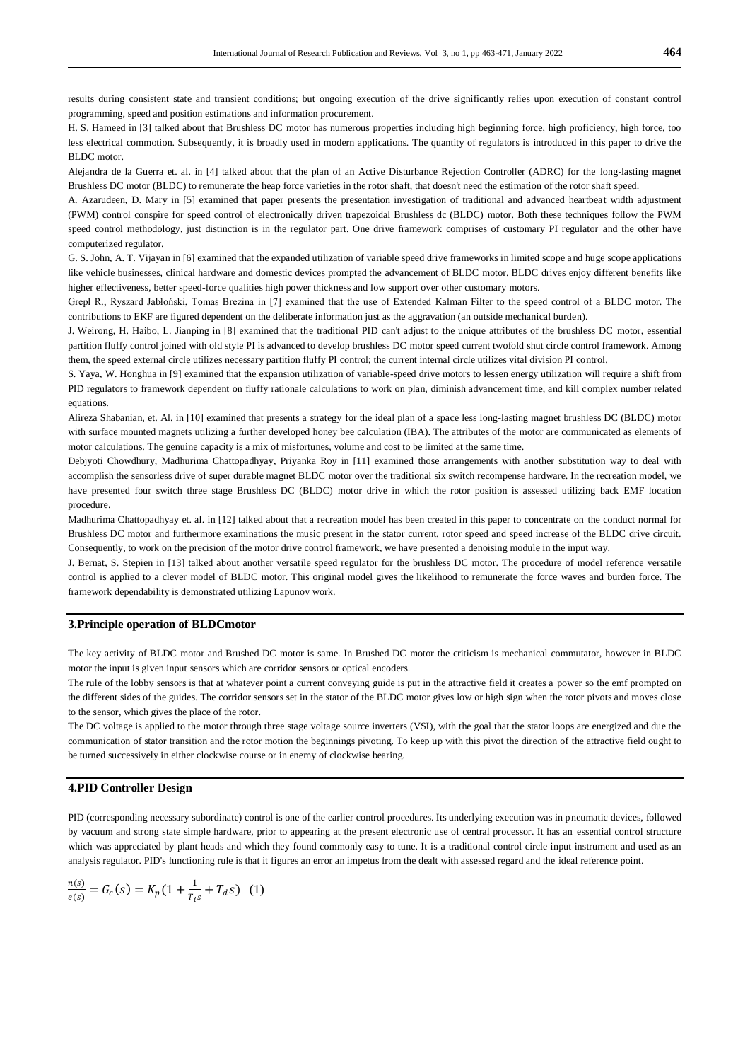results during consistent state and transient conditions; but ongoing execution of the drive significantly relies upon execution of constant control programming, speed and position estimations and information procurement.

H. S. Hameed in [3] talked about that Brushless DC motor has numerous properties including high beginning force, high proficiency, high force, too less electrical commotion. Subsequently, it is broadly used in modern applications. The quantity of regulators is introduced in this paper to drive the BLDC motor.

Alejandra de la Guerra et. al. in [4] talked about that the plan of an Active Disturbance Rejection Controller (ADRC) for the long-lasting magnet Brushless DC motor (BLDC) to remunerate the heap force varieties in the rotor shaft, that doesn't need the estimation of the rotor shaft speed.

A. Azarudeen, D. Mary in [5] examined that paper presents the presentation investigation of traditional and advanced heartbeat width adjustment (PWM) control conspire for speed control of electronically driven trapezoidal Brushless dc (BLDC) motor. Both these techniques follow the PWM speed control methodology, just distinction is in the regulator part. One drive framework comprises of customary PI regulator and the other have computerized regulator.

G. S. John, A. T. Vijayan in [6] examined that the expanded utilization of variable speed drive frameworks in limited scope and huge scope applications like vehicle businesses, clinical hardware and domestic devices prompted the advancement of BLDC motor. BLDC drives enjoy different benefits like higher effectiveness, better speed-force qualities high power thickness and low support over other customary motors.

Grepl R., Ryszard Jabłoński, Tomas Brezina in [7] examined that the use of Extended Kalman Filter to the speed control of a BLDC motor. The contributions to EKF are figured dependent on the deliberate information just as the aggravation (an outside mechanical burden).

J. Weirong, H. Haibo, L. Jianping in [8] examined that the traditional PID can't adjust to the unique attributes of the brushless DC motor, essential partition fluffy control joined with old style PI is advanced to develop brushless DC motor speed current twofold shut circle control framework. Among them, the speed external circle utilizes necessary partition fluffy PI control; the current internal circle utilizes vital division PI control.

S. Yaya, W. Honghua in [9] examined that the expansion utilization of variable-speed drive motors to lessen energy utilization will require a shift from PID regulators to framework dependent on fluffy rationale calculations to work on plan, diminish advancement time, and kill complex number related equations.

Alireza Shabanian, et. Al. in [10] examined that presents a strategy for the ideal plan of a space less long-lasting magnet brushless DC (BLDC) motor with surface mounted magnets utilizing a further developed honey bee calculation (IBA). The attributes of the motor are communicated as elements of motor calculations. The genuine capacity is a mix of misfortunes, volume and cost to be limited at the same time.

Debjyoti Chowdhury, Madhurima Chattopadhyay, Priyanka Roy in [11] examined those arrangements with another substitution way to deal with accomplish the sensorless drive of super durable magnet BLDC motor over the traditional six switch recompense hardware. In the recreation model, we have presented four switch three stage Brushless DC (BLDC) motor drive in which the rotor position is assessed utilizing back EMF location procedure.

Madhurima Chattopadhyay et. al. in [12] talked about that a recreation model has been created in this paper to concentrate on the conduct normal for Brushless DC motor and furthermore examinations the music present in the stator current, rotor speed and speed increase of the BLDC drive circuit. Consequently, to work on the precision of the motor drive control framework, we have presented a denoising module in the input way.

J. Bernat, S. Stepien in [13] talked about another versatile speed regulator for the brushless DC motor. The procedure of model reference versatile control is applied to a clever model of BLDC motor. This original model gives the likelihood to remunerate the force waves and burden force. The framework dependability is demonstrated utilizing Lapunov work.

#### **3.Principle operation of BLDCmotor**

The key activity of BLDC motor and Brushed DC motor is same. In Brushed DC motor the criticism is mechanical commutator, however in BLDC motor the input is given input sensors which are corridor sensors or optical encoders.

The rule of the lobby sensors is that at whatever point a current conveying guide is put in the attractive field it creates a power so the emf prompted on the different sides of the guides. The corridor sensors set in the stator of the BLDC motor gives low or high sign when the rotor pivots and moves close to the sensor, which gives the place of the rotor.

The DC voltage is applied to the motor through three stage voltage source inverters (VSI), with the goal that the stator loops are energized and due the communication of stator transition and the rotor motion the beginnings pivoting. To keep up with this pivot the direction of the attractive field ought to be turned successively in either clockwise course or in enemy of clockwise bearing.

#### **4.PID Controller Design**

PID (corresponding necessary subordinate) control is one of the earlier control procedures. Its underlying execution was in pneumatic devices, followed by vacuum and strong state simple hardware, prior to appearing at the present electronic use of central processor. It has an essential control structure which was appreciated by plant heads and which they found commonly easy to tune. It is a traditional control circle input instrument and used as an analysis regulator. PID's functioning rule is that it figures an error an impetus from the dealt with assessed regard and the ideal reference point.

$$
\frac{n(s)}{e(s)} = G_c(s) = K_p(1 + \frac{1}{T_{is}} + T_d s) \quad (1)
$$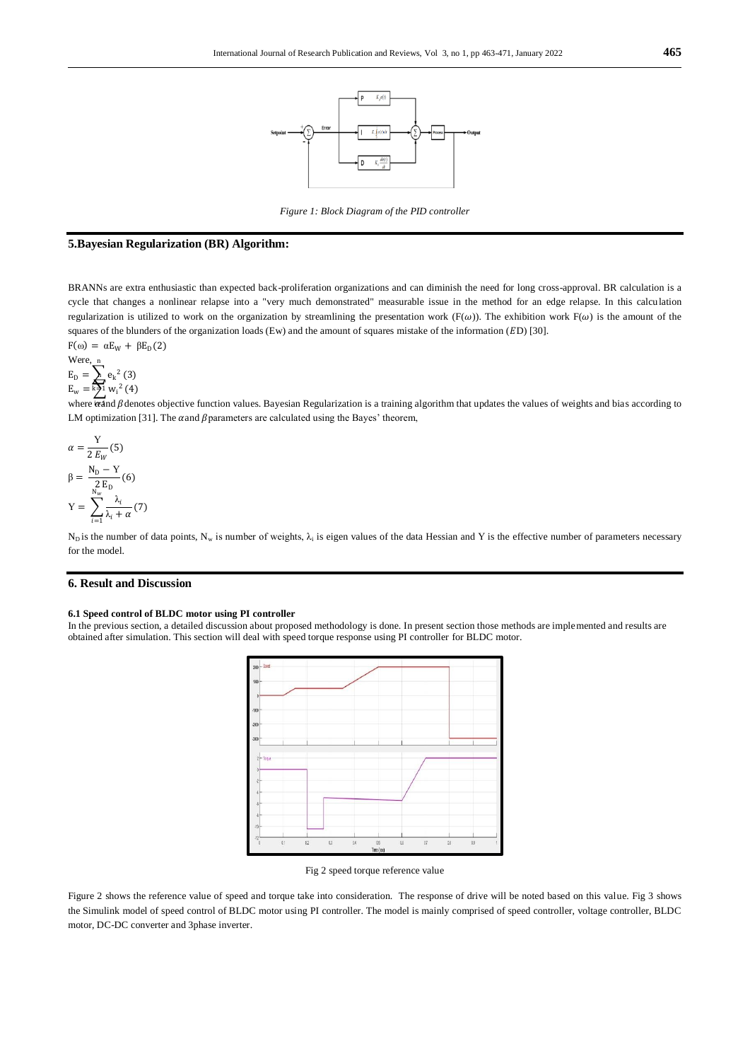

*Figure 1: Block Diagram of the PID controller*

## **5.Bayesian Regularization (BR) Algorithm:**

BRANNs are extra enthusiastic than expected back-proliferation organizations and can diminish the need for long cross-approval. BR calculation is a cycle that changes a nonlinear relapse into a "very much demonstrated" measurable issue in the method for an edge relapse. In this calculation regularization is utilized to work on the organization by streamlining the presentation work (F( $\omega$ )). The exhibition work F( $\omega$ ) is the amount of the squares of the blunders of the organization loads (Ew) and the amount of squares mistake of the information (ED) [30].  $F(\omega) = \alpha E_w + \beta E_p(2)$ 

$$
F(\omega) = \alpha E_W + p E_D
$$
  
Were, n  

$$
E_D = \sum e_k^2
$$
 (3)

$$
E_{w} = k \sum_{i=1}^{n} w_i^2 (4)
$$

where  $\overline{\text{tanh}}$   $\beta$  denotes objective function values. Bayesian Regularization is a training algorithm that updates the values of weights and bias according to LM optimization [31]. The  $\alpha$  and  $\beta$  parameters are calculated using the Bayes' theorem,

$$
\alpha = \frac{Y}{2 E_W}(5)
$$

$$
\beta = \frac{N_D - Y}{2 E_D}(6)
$$

$$
Y = \sum_{i=1}^{N_w} \frac{\lambda_i}{\lambda_i + \alpha}(7)
$$

N<sub>D</sub> is the number of data points, N<sub>w</sub> is number of weights,  $\lambda_i$  is eigen values of the data Hessian and Y is the effective number of parameters necessary for the model.

## **6. Result and Discussion**

#### **6.1 Speed control of BLDC motor using PI controller**

In the previous section, a detailed discussion about proposed methodology is done. In present section those methods are implemented and results are obtained after simulation. This section will deal with speed torque response using PI controller for BLDC motor.



Fig 2 speed torque reference value

Figure 2 shows the reference value of speed and torque take into consideration. The response of drive will be noted based on this value. Fig 3 shows the Simulink model of speed control of BLDC motor using PI controller. The model is mainly comprised of speed controller, voltage controller, BLDC motor, DC-DC converter and 3phase inverter.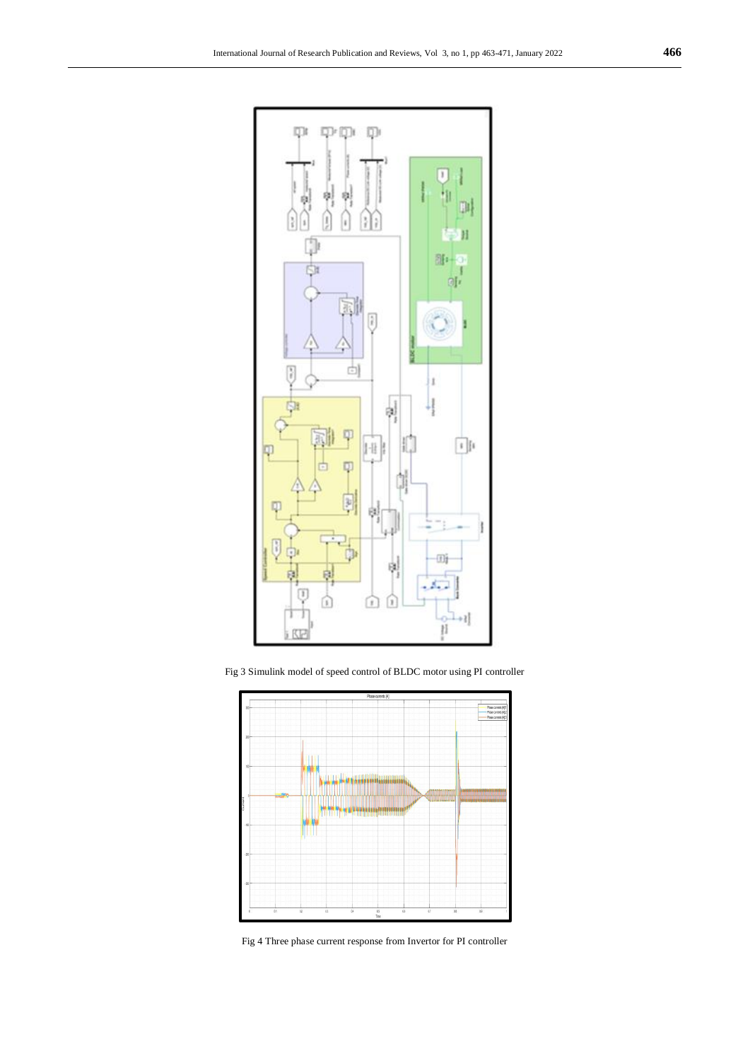

Fig 3 Simulink model of speed control of BLDC motor using PI controller



Fig 4 Three phase current response from Invertor for PI controller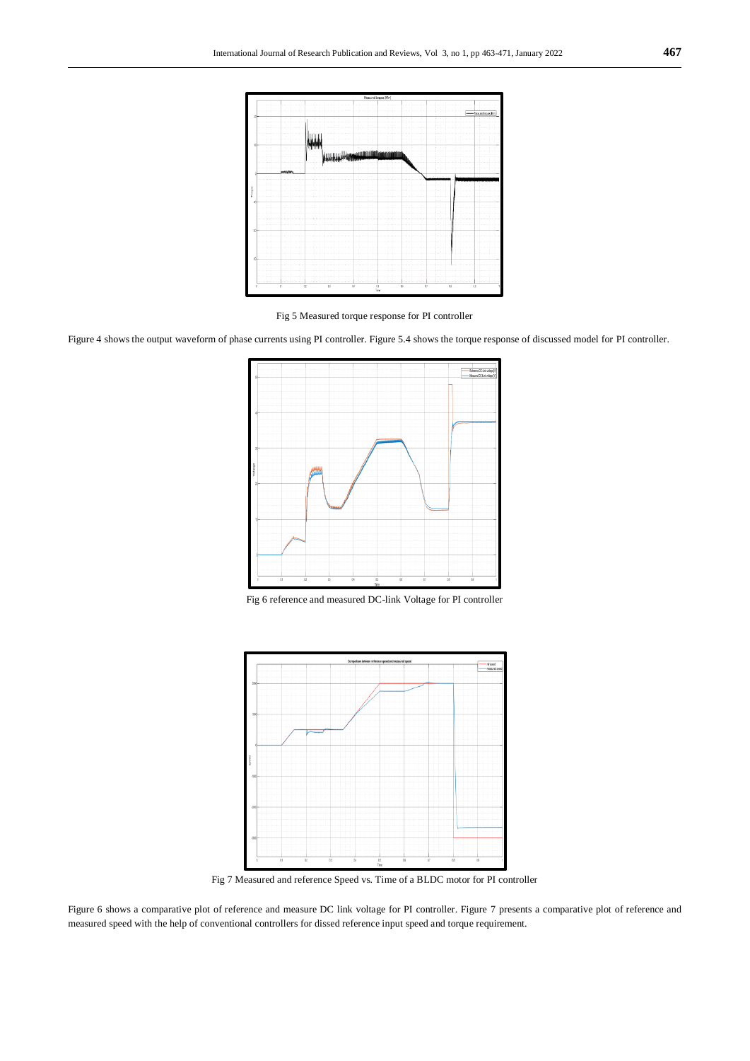

Fig 5 Measured torque response for PI controller

Figure 4 shows the output waveform of phase currents using PI controller. Figure 5.4 shows the torque response of discussed model for PI controller.







Fig 7 Measured and reference Speed vs. Time of a BLDC motor for PI controller

Figure 6 shows a comparative plot of reference and measure DC link voltage for PI controller. Figure 7 presents a comparative plot of reference and measured speed with the help of conventional controllers for dissed reference input speed and torque requirement.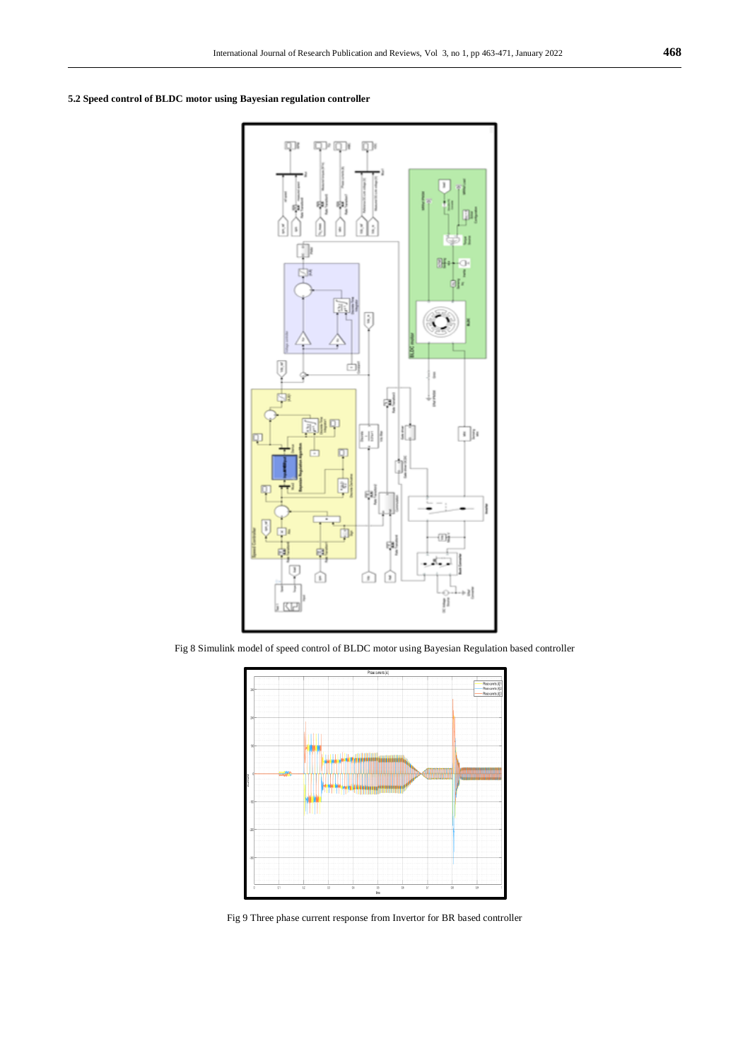**5.2 Speed control of BLDC motor using Bayesian regulation controller**



Fig 8 Simulink model of speed control of BLDC motor using Bayesian Regulation based controller



Fig 9 Three phase current response from Invertor for BR based controller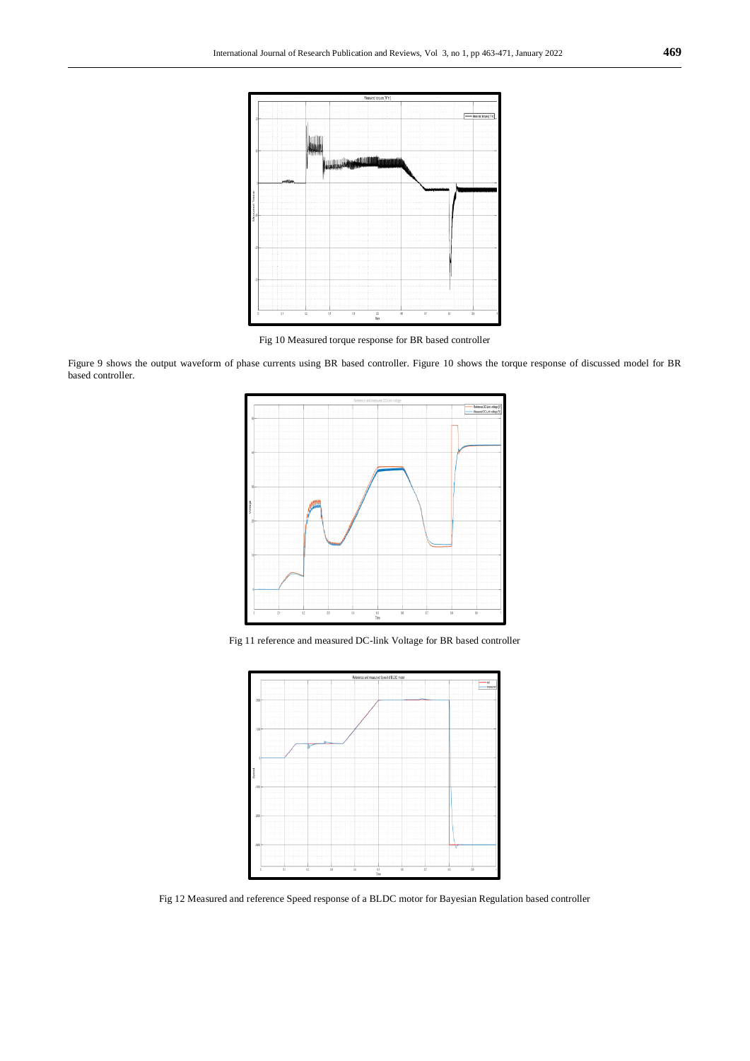

Fig 10 Measured torque response for BR based controller

Figure 9 shows the output waveform of phase currents using BR based controller. Figure 10 shows the torque response of discussed model for BR based controller.



Fig 11 reference and measured DC-link Voltage for BR based controller



Fig 12 Measured and reference Speed response of a BLDC motor for Bayesian Regulation based controller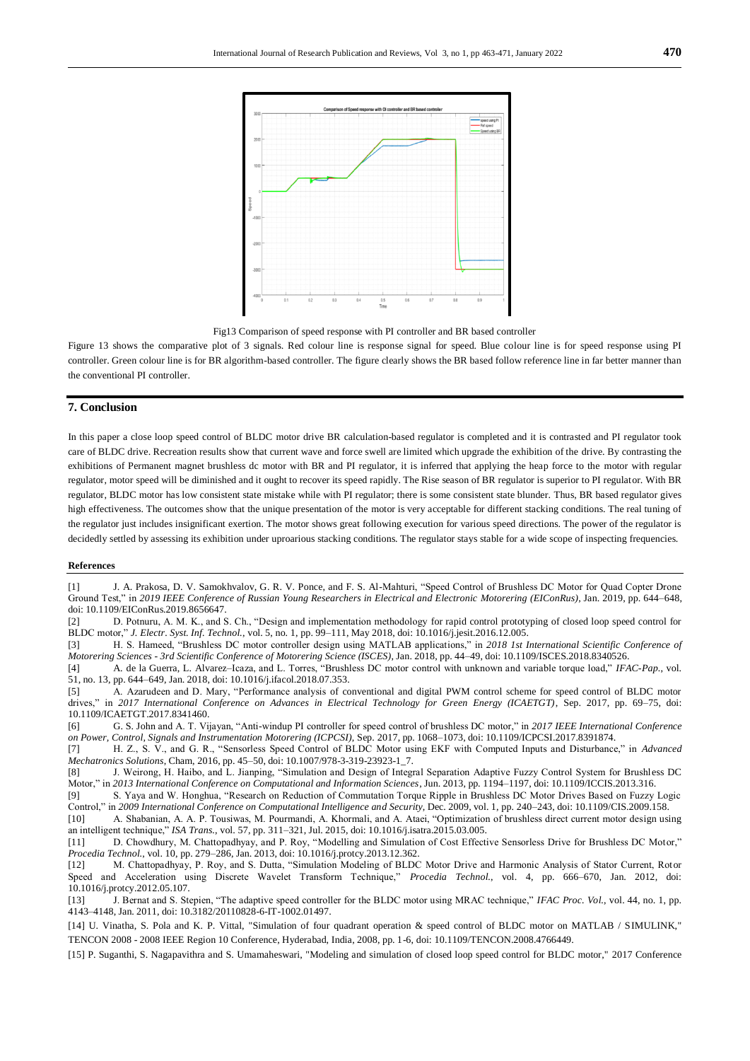

Fig13 Comparison of speed response with PI controller and BR based controller

Figure 13 shows the comparative plot of 3 signals. Red colour line is response signal for speed. Blue colour line is for speed response using PI controller. Green colour line is for BR algorithm-based controller. The figure clearly shows the BR based follow reference line in far better manner than the conventional PI controller.

# **7. Conclusion**

In this paper a close loop speed control of BLDC motor drive BR calculation-based regulator is completed and it is contrasted and PI regulator took care of BLDC drive. Recreation results show that current wave and force swell are limited which upgrade the exhibition of the drive. By contrasting the exhibitions of Permanent magnet brushless dc motor with BR and PI regulator, it is inferred that applying the heap force to the motor with regular regulator, motor speed will be diminished and it ought to recover its speed rapidly. The Rise season of BR regulator is superior to PI regulator. With BR regulator, BLDC motor has low consistent state mistake while with PI regulator; there is some consistent state blunder. Thus, BR based regulator gives high effectiveness. The outcomes show that the unique presentation of the motor is very acceptable for different stacking conditions. The real tuning of the regulator just includes insignificant exertion. The motor shows great following execution for various speed directions. The power of the regulator is decidedly settled by assessing its exhibition under uproarious stacking conditions. The regulator stays stable for a wide scope of inspecting frequencies.

#### **References**

[1] J. A. Prakosa, D. V. Samokhvalov, G. R. V. Ponce, and F. S. Al-Mahturi, "Speed Control of Brushless DC Motor for Quad Copter Drone Ground Test," in *2019 IEEE Conference of Russian Young Researchers in Electrical and Electronic Motorering (EIConRus)*, Jan. 2019, pp. 644–648, doi: 10.1109/EIConRus.2019.8656647.

[2] D. Potnuru, A. M. K., and S. Ch., "Design and implementation methodology for rapid control prototyping of closed loop speed control for BLDC motor," *J. Electr. Syst. Inf. Technol.*, vol. 5, no. 1, pp. 99–111, May 2018, doi: 10.1016/j.jesit.2016.12.005.

[3] H. S. Hameed, "Brushless DC motor controller design using MATLAB applications," in *2018 1st International Scientific Conference of Motorering Sciences - 3rd Scientific Conference of Motorering Science (ISCES)*, Jan. 2018, pp. 44–49, doi: 10.1109/ISCES.2018.8340526.

[4] A. de la Guerra, L. Alvarez–Icaza, and L. Torres, "Brushless DC motor control with unknown and variable torque load," *IFAC-Pap.*, vol. 51, no. 13, pp. 644–649, Jan. 2018, doi: 10.1016/j.ifacol.2018.07.353.

[5] A. Azarudeen and D. Mary, "Performance analysis of conventional and digital PWM control scheme for speed control of BLDC motor drives," in *2017 International Conference on Advances in Electrical Technology for Green Energy (ICAETGT)*, Sep. 2017, pp. 69–75, doi: 10.1109/ICAETGT.2017.8341460.

[6] G. S. John and A. T. Vijayan, "Anti-windup PI controller for speed control of brushless DC motor," in *2017 IEEE International Conference on Power, Control, Signals and Instrumentation Motorering (ICPCSI)*, Sep. 2017, pp. 1068–1073, doi: 10.1109/ICPCSI.2017.8391874.

[7] H. Z., S. V., and G. R., "Sensorless Speed Control of BLDC Motor using EKF with Computed Inputs and Disturbance," in *Advanced Mechatronics Solutions*, Cham, 2016, pp. 45–50, doi: 10.1007/978-3-319-23923-1\_7.

[8] J. Weirong, H. Haibo, and L. Jianping, "Simulation and Design of Integral Separation Adaptive Fuzzy Control System for Brushl ess DC Motor," in *2013 International Conference on Computational and Information Sciences*, Jun. 2013, pp. 1194–1197, doi: 10.1109/ICCIS.2013.316.

[9] S. Yaya and W. Honghua, "Research on Reduction of Commutation Torque Ripple in Brushless DC Motor Drives Based on Fuzzy Logic Control," in *2009 International Conference on Computational Intelligence and Security*, Dec. 2009, vol. 1, pp. 240–243, doi: 10.1109/CIS.2009.158.

[10] A. Shabanian, A. A. P. Tousiwas, M. Pourmandi, A. Khormali, and A. Ataei, "Optimization of brushless direct current motor design using an intelligent technique," *ISA Trans.*, vol. 57, pp. 311–321, Jul. 2015, doi: 10.1016/j.isatra.2015.03.005.

[11] D. Chowdhury, M. Chattopadhyay, and P. Roy, "Modelling and Simulation of Cost Effective Sensorless Drive for Brushless DC Motor," *Procedia Technol.*, vol. 10, pp. 279–286, Jan. 2013, doi: 10.1016/j.protcy.2013.12.362.

[12] M. Chattopadhyay, P. Roy, and S. Dutta, "Simulation Modeling of BLDC Motor Drive and Harmonic Analysis of Stator Current, Rotor Speed and Acceleration using Discrete Wavelet Transform Technique," *Procedia Technol.*, vol. 4, pp. 666–670, Jan. 2012, doi: 10.1016/j.protcy.2012.05.107.

[13] J. Bernat and S. Stepien, "The adaptive speed controller for the BLDC motor using MRAC technique," *IFAC Proc. Vol.*, vol. 44, no. 1, pp. 4143–4148, Jan. 2011, doi: 10.3182/20110828-6-IT-1002.01497.

[14] U. Vinatha, S. Pola and K. P. Vittal, "Simulation of four quadrant operation & speed control of BLDC motor on MATLAB / SIMULINK," TENCON 2008 - 2008 IEEE Region 10 Conference, Hyderabad, India, 2008, pp. 1-6, doi: 10.1109/TENCON.2008.4766449.

[15] P. Suganthi, S. Nagapavithra and S. Umamaheswari, "Modeling and simulation of closed loop speed control for BLDC motor," 2017 Conference